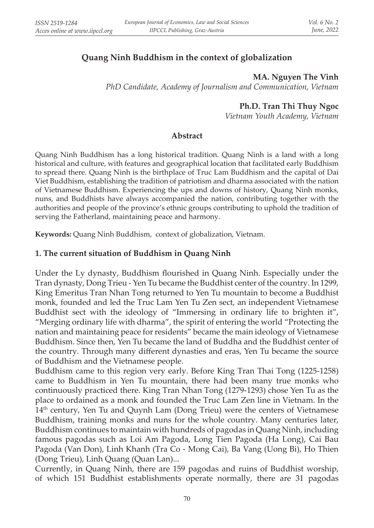# **Quang Ninh Buddhism in the context of globalization**

#### **MA. Nguyen The Vinh**

*PhD Candidate, Academy of Journalism and Communication, Vietnam*

## **Ph.D. Tran Thi Thuy Ngoc**

*Vietnam Youth Academy, Vietnam*

#### **Abstract**

Quang Ninh Buddhism has a long historical tradition. Quang Ninh is a land with a long historical and culture, with features and geographical location that facilitated early Buddhism to spread there. Quang Ninh is the birthplace of Truc Lam Buddhism and the capital of Dai Viet Buddhism, establishing the tradition of patriotism and dharma associated with the nation of Vietnamese Buddhism. Experiencing the ups and downs of history, Quang Ninh monks, nuns, and Buddhists have always accompanied the nation, contributing together with the authorities and people of the province's ethnic groups contributing to uphold the tradition of serving the Fatherland, maintaining peace and harmony.

**Keywords:** Quang Ninh Buddhism, context of globalization, Vietnam.

## **1. The current situation of Buddhism in Quang Ninh**

Under the Ly dynasty, Buddhism flourished in Quang Ninh. Especially under the Tran dynasty, Dong Trieu - Yen Tu became the Buddhist center of the country. In 1299, King Emeritus Tran Nhan Tong returned to Yen Tu mountain to become a Buddhist monk, founded and led the Truc Lam Yen Tu Zen sect, an independent Vietnamese Buddhist sect with the ideology of "Immersing in ordinary life to brighten it", "Merging ordinary life with dharma", the spirit of entering the world "Protecting the nation and maintaining peace for residents" became the main ideology of Vietnamese Buddhism. Since then, Yen Tu became the land of Buddha and the Buddhist center of the country. Through many different dynasties and eras, Yen Tu became the source of Buddhism and the Vietnamese people.

Buddhism came to this region very early. Before King Tran Thai Tong (1225-1258) came to Buddhism in Yen Tu mountain, there had been many true monks who continuously practiced there. King Tran Nhan Tong (1279-1293) chose Yen Tu as the place to ordained as a monk and founded the Truc Lam Zen line in Vietnam. In the 14<sup>th</sup> century, Yen Tu and Quynh Lam (Dong Trieu) were the centers of Vietnamese Buddhism, training monks and nuns for the whole country. Many centuries later, Buddhism continues to maintain with hundreds of pagodas in Quang Ninh, including famous pagodas such as Loi Am Pagoda, Long Tien Pagoda (Ha Long), Cai Bau Pagoda (Van Don), Linh Khanh (Tra Co - Mong Cai), Ba Vang (Uong Bi), Ho Thien (Dong Trieu), Linh Quang (Quan Lan)...

Currently, in Quang Ninh, there are 159 pagodas and ruins of Buddhist worship, of which 151 Buddhist establishments operate normally, there are 31 pagodas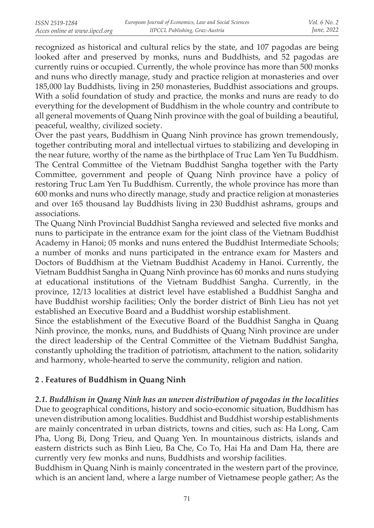recognized as historical and cultural relics by the state, and 107 pagodas are being looked after and preserved by monks, nuns and Buddhists, and 52 pagodas are currently ruins or occupied. Currently, the whole province has more than 500 monks and nuns who directly manage, study and practice religion at monasteries and over 185,000 lay Buddhists, living in 250 monasteries, Buddhist associations and groups. With a solid foundation of study and practice, the monks and nuns are ready to do everything for the development of Buddhism in the whole country and contribute to all general movements of Quang Ninh province with the goal of building a beautiful, peaceful, wealthy, civilized society.

Over the past years, Buddhism in Quang Ninh province has grown tremendously, together contributing moral and intellectual virtues to stabilizing and developing in the near future, worthy of the name as the birthplace of Truc Lam Yen Tu Buddhism. The Central Committee of the Vietnam Buddhist Sangha together with the Party Committee, government and people of Quang Ninh province have a policy of restoring Truc Lam Yen Tu Buddhism. Currently, the whole province has more than 600 monks and nuns who directly manage, study and practice religion at monasteries and over 165 thousand lay Buddhists living in 230 Buddhist ashrams, groups and associations.

The Quang Ninh Provincial Buddhist Sangha reviewed and selected five monks and nuns to participate in the entrance exam for the joint class of the Vietnam Buddhist Academy in Hanoi; 05 monks and nuns entered the Buddhist Intermediate Schools; a number of monks and nuns participated in the entrance exam for Masters and Doctors of Buddhism at the Vietnam Buddhist Academy in Hanoi. Currently, the Vietnam Buddhist Sangha in Quang Ninh province has 60 monks and nuns studying at educational institutions of the Vietnam Buddhist Sangha. Currently, in the province, 12/13 localities at district level have established a Buddhist Sangha and have Buddhist worship facilities; Only the border district of Binh Lieu has not yet established an Executive Board and a Buddhist worship establishment.

Since the establishment of the Executive Board of the Buddhist Sangha in Quang Ninh province, the monks, nuns, and Buddhists of Quang Ninh province are under the direct leadership of the Central Committee of the Vietnam Buddhist Sangha, constantly upholding the tradition of patriotism, attachment to the nation, solidarity and harmony, whole-hearted to serve the community, religion and nation.

## **2 . Features of Buddhism in Quang Ninh**

*2.1. Buddhism in Quang Ninh has an uneven distribution of pagodas in the localities* Due to geographical conditions, history and socio-economic situation, Buddhism has uneven distribution among localities. Buddhist and Buddhist worship establishments are mainly concentrated in urban districts, towns and cities, such as: Ha Long, Cam Pha, Uong Bi, Dong Trieu, and Quang Yen. In mountainous districts, islands and eastern districts such as Binh Lieu, Ba Che, Co To, Hai Ha and Dam Ha, there are currently very few monks and nuns, Buddhists and worship facilities.

Buddhism in Quang Ninh is mainly concentrated in the western part of the province, which is an ancient land, where a large number of Vietnamese people gather; As the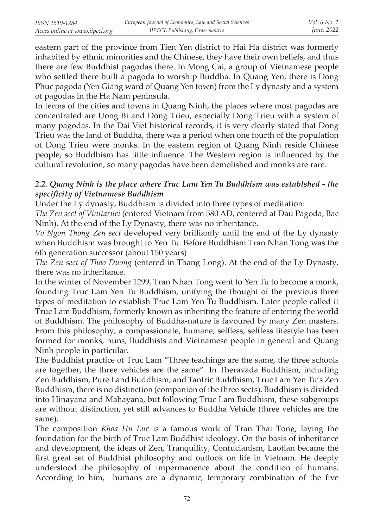eastern part of the province from Tien Yen district to Hai Ha district was formerly inhabited by ethnic minorities and the Chinese, they have their own beliefs, and thus there are few Buddhist pagodas there. In Mong Cai, a group of Vietnamese people who settled there built a pagoda to worship Buddha. In Quang Yen, there is Dong Phuc pagoda (Yen Giang ward of Quang Yen town) from the Ly dynasty and a system of pagodas in the Ha Nam peninsula.

In terms of the cities and towns in Quang Ninh, the places where most pagodas are concentrated are Uong Bi and Dong Trieu, especially Dong Trieu with a system of many pagodas. In the Dai Viet historical records, it is very clearly stated that Dong Trieu was the land of Buddha, there was a period when one fourth of the population of Dong Trieu were monks. In the eastern region of Quang Ninh reside Chinese people, so Buddhism has little influence. The Western region is influenced by the cultural revolution, so many pagodas have been demolished and monks are rare.

## *2.2. Quang Ninh is the place where Truc Lam Yen Tu Buddhism was establshed - the specificity of Vietnamese Buddhism*

Under the Ly dynasty, Buddhism is divided into three types of meditation:

*The Zen sect of Vinitaruci* (entered Vietnam from 580 AD, centered at Dau Pagoda, Bac Ninh). At the end of the Ly Dynasty, there was no inheritance.

*Vo Ngon Thong Zen sect* developed very brilliantly until the end of the Ly dynasty when Buddhism was brought to Yen Tu. Before Buddhism Tran Nhan Tong was the 6th generation successor (about 150 years)

*The Zen sect of Thao Duong* (entered in Thang Long). At the end of the Ly Dynasty, there was no inheritance.

In the winter of November 1299, Tran Nhan Tong went to Yen Tu to become a monk, founding Truc Lam Yen Tu Buddhism, unifying the thought of the previous three types of meditation to establish Truc Lam Yen Tu Buddhism. Later people called it Truc Lam Buddhism, formerly known as inheriting the feature of entering the world of Buddhism. The philosophy of Buddha-nature is favoured by many Zen masters. From this philosophy, a compassionate, humane, selfless, selfless lifestyle has been formed for monks, nuns, Buddhists and Vietnamese people in general and Quang Ninh people in particular.

The Buddhist practice of Truc Lam "Three teachings are the same, the three schools are together, the three vehicles are the same". In Theravada Buddhism, including Zen Buddhism, Pure Land Buddhism, and Tantric Buddhism, Truc Lam Yen Tu's Zen Buddhism, there is no distinction (companion of the three sects). Buddhism is divided into Hinayana and Mahayana, but following Truc Lam Buddhism, these subgroups are without distinction, yet still advances to Buddha Vehicle (three vehicles are the same).

The composition *Khoa Hu Luc* is a famous work of Tran Thai Tong, laying the foundation for the birth of Truc Lam Buddhist ideology. On the basis of inheritance and development, the ideas of Zen, Tranquility, Confucianism, Laotian became the first great set of Buddhist philosophy and outlook on life in Vietnam. He deeply understood the philosophy of impermanence about the condition of humans. According to him, humans are a dynamic, temporary combination of the five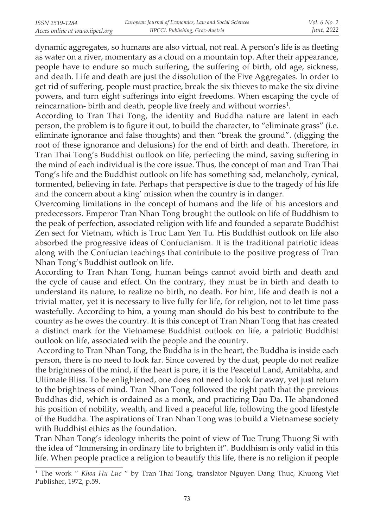dynamic aggregates, so humans are also virtual, not real. A person's life is as fleeting as water on a river, momentary as a cloud on a mountain top. After their appearance, people have to endure so much suffering, the suffering of birth, old age, sickness, and death. Life and death are just the dissolution of the Five Aggregates. In order to get rid of suffering, people must practice, break the six thieves to make the six divine powers, and turn eight sufferings into eight freedoms. When escaping the cycle of reincarnation- birth and death, people live freely and without worries<sup>1</sup>.

According to Tran Thai Tong, the identity and Buddha nature are latent in each person, the problem is to figure it out, to build the character, to "eliminate grass" (i.e. eliminate ignorance and false thoughts) and then "break the ground". (digging the root of these ignorance and delusions) for the end of birth and death. Therefore, in Tran Thai Tong's Buddhist outlook on life, perfecting the mind, saving suffering in the mind of each individual is the core issue. Thus, the concept of man and Tran Thai Tong's life and the Buddhist outlook on life has something sad, melancholy, cynical, tormented, believing in fate. Perhaps that perspective is due to the tragedy of his life and the concern about a king' mission when the country is in danger.

Overcoming limitations in the concept of humans and the life of his ancestors and predecessors. Emperor Tran Nhan Tong brought the outlook on life of Buddhism to the peak of perfection, associated religion with life and founded a separate Buddhist Zen sect for Vietnam, which is Truc Lam Yen Tu. His Buddhist outlook on life also absorbed the progressive ideas of Confucianism. It is the traditional patriotic ideas along with the Confucian teachings that contribute to the positive progress of Tran Nhan Tong's Buddhist outlook on life.

According to Tran Nhan Tong, human beings cannot avoid birth and death and the cycle of cause and effect. On the contrary, they must be in birth and death to understand its nature, to realize no birth, no death. For him, life and death is not a trivial matter, yet it is necessary to live fully for life, for religion, not to let time pass wastefully. According to him, a young man should do his best to contribute to the country as he owes the country. It is this concept of Tran Nhan Tong that has created a distinct mark for the Vietnamese Buddhist outlook on life, a patriotic Buddhist outlook on life, associated with the people and the country.

 According to Tran Nhan Tong, the Buddha is in the heart, the Buddha is inside each person, there is no need to look far. Since covered by the dust, people do not realize the brightness of the mind, if the heart is pure, it is the Peaceful Land, Amitabha, and Ultimate Bliss. To be enlightened, one does not need to look far away, yet just return to the brightness of mind. Tran Nhan Tong followed the right path that the previous Buddhas did, which is ordained as a monk, and practicing Dau Da. He abandoned his position of nobility, wealth, and lived a peaceful life, following the good lifestyle of the Buddha. The aspirations of Tran Nhan Tong was to build a Vietnamese society with Buddhist ethics as the foundation.

Tran Nhan Tong's ideology inherits the point of view of Tue Trung Thuong Si with the idea of "Immersing in ordinary life to brighten it". Buddhism is only valid in this life. When people practice a religion to beautify this life, there is no religion if people

<sup>&</sup>lt;sup>1</sup> The work " *Khoa Hu Luc* " by Tran Thai Tong, translator Nguyen Dang Thuc, Khuong Viet Publisher, 1972, p.59.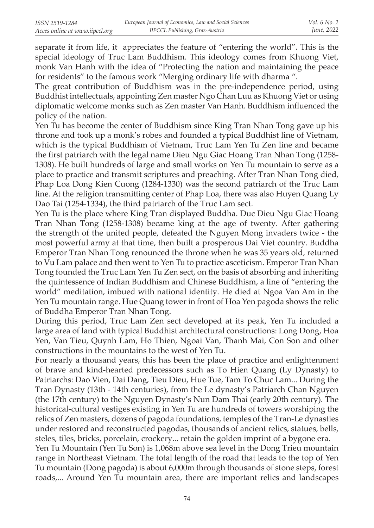separate it from life, it appreciates the feature of "entering the world". This is the special ideology of Truc Lam Buddhism. This ideology comes from Khuong Viet, monk Van Hanh with the idea of "Protecting the nation and maintaining the peace for residents" to the famous work "Merging ordinary life with dharma ".

The great contribution of Buddhism was in the pre-independence period, using Buddhist intellectuals, appointing Zen master Ngo Chan Luu as Khuong Viet or using diplomatic welcome monks such as Zen master Van Hanh. Buddhism influenced the policy of the nation.

Yen Tu has become the center of Buddhism since King Tran Nhan Tong gave up his throne and took up a monk's robes and founded a typical Buddhist line of Vietnam, which is the typical Buddhism of Vietnam, Truc Lam Yen Tu Zen line and became the first patriarch with the legal name Dieu Ngu Giac Hoang Tran Nhan Tong (1258- 1308). He built hundreds of large and small works on Yen Tu mountain to serve as a place to practice and transmit scriptures and preaching. After Tran Nhan Tong died, Phap Loa Dong Kien Cuong (1284-1330) was the second patriarch of the Truc Lam line. At the religion transmitting center of Phap Loa, there was also Huyen Quang Ly Dao Tai (1254-1334), the third patriarch of the Truc Lam sect.

Yen Tu is the place where King Tran displayed Buddha. Duc Dieu Ngu Giac Hoang Tran Nhan Tong (1258-1308) became king at the age of twenty. After gathering the strength of the united people, defeated the Nguyen Mong invaders twice - the most powerful army at that time, then built a prosperous Dai Viet country. Buddha Emperor Tran Nhan Tong renounced the throne when he was 35 years old, returned to Vu Lam palace and then went to Yen Tu to practice asceticism. Emperor Tran Nhan Tong founded the Truc Lam Yen Tu Zen sect, on the basis of absorbing and inheriting the quintessence of Indian Buddhism and Chinese Buddhism, a line of "entering the world" meditation, imbued with national identity. He died at Ngoa Van Am in the Yen Tu mountain range. Hue Quang tower in front of Hoa Yen pagoda shows the relic of Buddha Emperor Tran Nhan Tong.

During this period, Truc Lam Zen sect developed at its peak, Yen Tu included a large area of land with typical Buddhist architectural constructions: Long Dong, Hoa Yen, Van Tieu, Quynh Lam, Ho Thien, Ngoai Van, Thanh Mai, Con Son and other constructions in the mountains to the west of Yen Tu.

For nearly a thousand years, this has been the place of practice and enlightenment of brave and kind-hearted predecessors such as To Hien Quang (Ly Dynasty) to Patriarchs: Dao Vien, Dai Dang, Tieu Dieu, Hue Tue, Tam To Chuc Lam... During the Tran Dynasty (13th - 14th centuries), from the Le dynasty's Patriarch Chan Nguyen (the 17th century) to the Nguyen Dynasty's Nun Dam Thai (early 20th century). The historical-cultural vestiges existing in Yen Tu are hundreds of towers worshiping the relics of Zen masters, dozens of pagoda foundations, temples of the Tran-Le dynasties under restored and reconstructed pagodas, thousands of ancient relics, statues, bells, steles, tiles, bricks, porcelain, crockery... retain the golden imprint of a bygone era.

Yen Tu Mountain (Yen Tu Son) is 1,068m above sea level in the Dong Trieu mountain range in Northeast Vietnam. The total length of the road that leads to the top of Yen Tu mountain (Dong pagoda) is about 6,000m through thousands of stone steps, forest roads,... Around Yen Tu mountain area, there are important relics and landscapes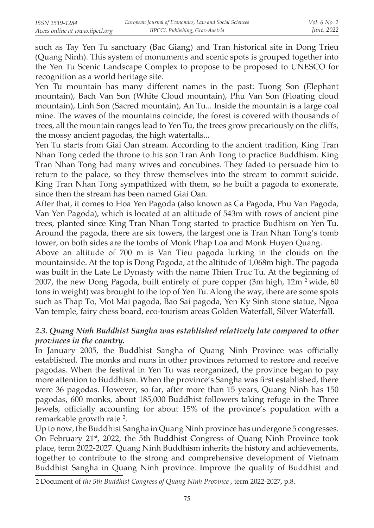such as Tay Yen Tu sanctuary (Bac Giang) and Tran historical site in Dong Trieu (Quang Ninh). This system of monuments and scenic spots is grouped together into the Yen Tu Scenic Landscape Complex to propose to be proposed to UNESCO for recognition as a world heritage site.

Yen Tu mountain has many different names in the past: Tuong Son (Elephant mountain), Bach Van Son (White Cloud mountain), Phu Van Son (Floating cloud mountain), Linh Son (Sacred mountain), An Tu... Inside the mountain is a large coal mine. The waves of the mountains coincide, the forest is covered with thousands of trees, all the mountain ranges lead to Yen Tu, the trees grow precariously on the cliffs, the mossy ancient pagodas, the high waterfalls...

Yen Tu starts from Giai Oan stream. According to the ancient tradition, King Tran Nhan Tong ceded the throne to his son Tran Anh Tong to practice Buddhism. King Tran Nhan Tong had many wives and concubines. They faded to persuade him to return to the palace, so they threw themselves into the stream to commit suicide. King Tran Nhan Tong sympathized with them, so he built a pagoda to exonerate, since then the stream has been named Giai Oan.

After that, it comes to Hoa Yen Pagoda (also known as Ca Pagoda, Phu Van Pagoda, Van Yen Pagoda), which is located at an altitude of 543m with rows of ancient pine trees, planted since King Tran Nhan Tong started to practice Budhism on Yen Tu. Around the pagoda, there are six towers, the largest one is Tran Nhan Tong's tomb tower, on both sides are the tombs of Monk Phap Loa and Monk Huyen Quang.

Above an altitude of 700 m is Van Tieu pagoda lurking in the clouds on the mountainside. At the top is Dong Pagoda, at the altitude of 1,068m high. The pagoda was built in the Late Le Dynasty with the name Thien Truc Tu. At the beginning of 2007, the new Dong Pagoda, built entirely of pure copper (3m high,  $12m<sup>2</sup>$  wide, 60 tons in weight) was brought to the top of Yen Tu. Along the way, there are some spots such as Thap To, Mot Mai pagoda, Bao Sai pagoda, Yen Ky Sinh stone statue, Ngoa Van temple, fairy chess board, eco-tourism areas Golden Waterfall, Silver Waterfall.

## *2.3. Quang Ninh Buddhist Sangha was established relatively late compared to other provinces in the country.*

In January 2005, the Buddhist Sangha of Quang Ninh Province was officially established. The monks and nuns in other provinces returned to restore and receive pagodas. When the festival in Yen Tu was reorganized, the province began to pay more attention to Buddhism. When the province's Sangha was first established, there were 36 pagodas. However, so far, after more than 15 years, Quang Ninh has 150 pagodas, 600 monks, about 185,000 Buddhist followers taking refuge in the Three Jewels, officially accounting for about 15% of the province's population with a remarkable growth rate <sup>2</sup>.

Up to now, the Buddhist Sangha in Quang Ninh province has undergone 5 congresses. On February  $21^{st}$ , 2022, the 5th Buddhist Congress of Quang Ninh Province took place, term 2022-2027. Quang Ninh Buddhism inherits the history and achievements, together to contribute to the strong and comprehensive development of Vietnam Buddhist Sangha in Quang Ninh province. Improve the quality of Buddhist and

<sup>2</sup> Document of *the 5th Buddhist Congress of Quang Ninh Province* , term 2022-2027, p.8.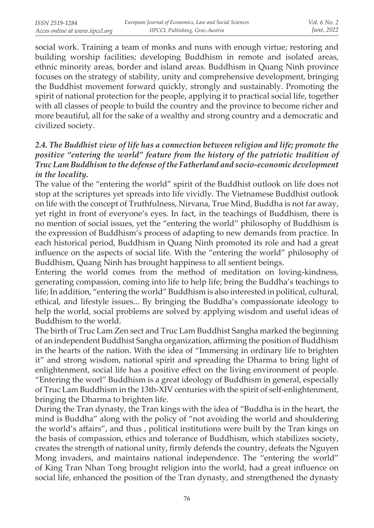social work. Training a team of monks and nuns with enough virtue; restoring and building worship facilities; developing Buddhism in remote and isolated areas, ethnic minority areas, border and island areas. Buddhism in Quang Ninh province focuses on the strategy of stability, unity and comprehensive development, bringing the Buddhist movement forward quickly, strongly and sustainably. Promoting the spirit of national protection for the people, applying it to practical social life, together with all classes of people to build the country and the province to become richer and more beautiful, all for the sake of a wealthy and strong country and a democratic and civilized society.

# *2.4. The Buddhist view of life has a connection between religion and life; promote the positive "entering the world" feature from the history of the patriotic tradition of Truc Lam Buddhism to the defense of the Fatherland and socio-economic development in the locality.*

The value of the "entering the world" spirit of the Buddhist outlook on life does not stop at the scriptures yet spreads into life vividly. The Vietnamese Buddhist outlook on life with the concept of Truthfulness, Nirvana, True Mind, Buddha is not far away, yet right in front of everyone's eyes. In fact, in the teachings of Buddhism, there is no mention of social issues, yet the "entering the world" philosophy of Buddhism is the expression of Buddhism's process of adapting to new demands from practice. In each historical period, Buddhism in Quang Ninh promoted its role and had a great influence on the aspects of social life. With the "entering the world" philosophy of Buddhism, Quang Ninh has brought happiness to all sentient beings.

Entering the world comes from the method of meditation on loving-kindness, generating compassion, coming into life to help life; bring the Buddha's teachings to life; In addition, "entering the world" Buddhism is also interested in political, cultural, ethical, and lifestyle issues... By bringing the Buddha's compassionate ideology to help the world, social problems are solved by applying wisdom and useful ideas of Buddhism to the world.

The birth of Truc Lam Zen sect and Truc Lam Buddhist Sangha marked the beginning of an independent Buddhist Sangha organization, affirming the position of Buddhism in the hearts of the nation. With the idea of "Immersing in ordinary life to brighten it" and strong wisdom, national spirit and spreading the Dharma to bring light of enlightenment, social life has a positive effect on the living environment of people. "Entering the worl" Buddhism is a great ideology of Buddhism in general, especially of Truc Lam Buddhism in the 13th-XIV centuries with the spirit of self-enlightenment, bringing the Dharma to brighten life.

During the Tran dynasty, the Tran kings with the idea of "Buddha is in the heart, the mind is Buddha" along with the policy of "not avoiding the world and shouldering the world's affairs", and thus , political institutions were built by the Tran kings on the basis of compassion, ethics and tolerance of Buddhism, which stabilizes society, creates the strength of national unity, firmly defends the country, defeats the Nguyen Mong invaders, and maintains national independence. The "entering the world" of King Tran Nhan Tong brought religion into the world, had a great influence on social life, enhanced the position of the Tran dynasty, and strengthened the dynasty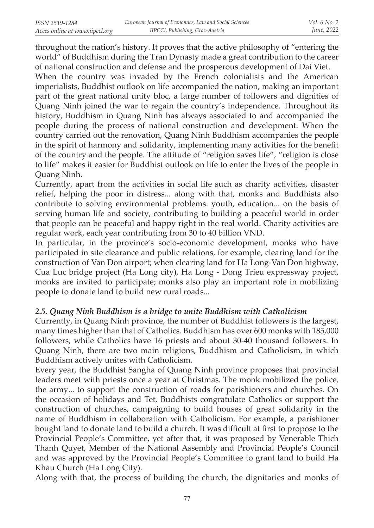throughout the nation's history. It proves that the active philosophy of "entering the world" of Buddhism during the Tran Dynasty made a great contribution to the career of national construction and defense and the prosperous development of Dai Viet.

When the country was invaded by the French colonialists and the American imperialists, Buddhist outlook on life accompanied the nation, making an important part of the great national unity bloc, a large number of followers and dignities of Quang Ninh joined the war to regain the country's independence. Throughout its history, Buddhism in Quang Ninh has always associated to and accompanied the people during the process of national construction and development. When the country carried out the renovation, Quang Ninh Buddhism accompanies the people in the spirit of harmony and solidarity, implementing many activities for the benefit of the country and the people. The attitude of "religion saves life", "religion is close to life" makes it easier for Buddhist outlook on life to enter the lives of the people in Quang Ninh.

Currently, apart from the activities in social life such as charity activities, disaster relief, helping the poor in distress... along with that, monks and Buddhists also contribute to solving environmental problems. youth, education... on the basis of serving human life and society, contributing to building a peaceful world in order that people can be peaceful and happy right in the real world. Charity activities are regular work, each year contributing from 30 to 40 billion VND.

In particular, in the province's socio-economic development, monks who have participated in site clearance and public relations, for example, clearing land for the construction of Van Don airport; when clearing land for Ha Long-Van Don highway, Cua Luc bridge project (Ha Long city), Ha Long - Dong Trieu expressway project, monks are invited to participate; monks also play an important role in mobilizing people to donate land to build new rural roads...

## *2.5. Quang Ninh Buddhism is a bridge to unite Buddhism with Catholicism*

Currently, in Quang Ninh province, the number of Buddhist followers is the largest, many times higher than that of Catholics. Buddhism has over 600 monks with 185,000 followers, while Catholics have 16 priests and about 30-40 thousand followers. In Quang Ninh, there are two main religions, Buddhism and Catholicism, in which Buddhism actively unites with Catholicism.

Every year, the Buddhist Sangha of Quang Ninh province proposes that provincial leaders meet with priests once a year at Christmas. The monk mobilized the police, the army... to support the construction of roads for parishioners and churches. On the occasion of holidays and Tet, Buddhists congratulate Catholics or support the construction of churches, campaigning to build houses of great solidarity in the name of Buddhism in collaboration with Catholicism. For example, a parishioner bought land to donate land to build a church. It was difficult at first to propose to the Provincial People's Committee, yet after that, it was proposed by Venerable Thich Thanh Quyet, Member of the National Assembly and Provincial People's Council and was approved by the Provincial People's Committee to grant land to build Ha Khau Church (Ha Long City).

Along with that, the process of building the church, the dignitaries and monks of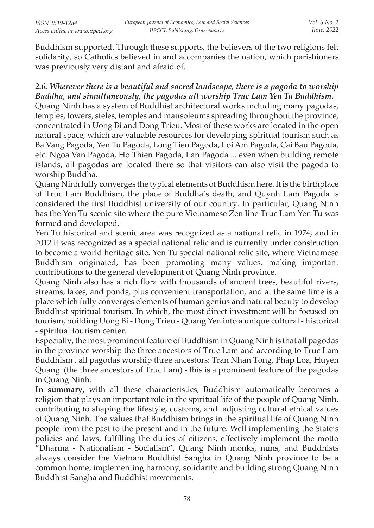Buddhism supported. Through these supports, the believers of the two religions felt solidarity, so Catholics believed in and accompanies the nation, which parishioners was previously very distant and afraid of.

# 2.6. Wherever there is a beautiful and sacred landscape, there is a pagoda to worship *Buddha, and simultaneously, the pagodas all worship Truc Lam Yen Tu Buddhism.*

Quang Ninh has a system of Buddhist architectural works including many pagodas, temples, towers, steles, temples and mausoleums spreading throughout the province, concentrated in Uong Bi and Dong Trieu. Most of these works are located in the open natural space, which are valuable resources for developing spiritual tourism such as Ba Vang Pagoda, Yen Tu Pagoda, Long Tien Pagoda, Loi Am Pagoda, Cai Bau Pagoda, etc. Ngoa Van Pagoda, Ho Thien Pagoda, Lan Pagoda ... even when building remote islands, all pagodas are located there so that visitors can also visit the pagoda to worship Buddha.

Quang Ninh fully converges the typical elements of Buddhism here. It is the birthplace of Truc Lam Buddhism, the place of Buddha's death, and Quynh Lam Pagoda is considered the first Buddhist university of our country. In particular, Quang Ninh has the Yen Tu scenic site where the pure Vietnamese Zen line Truc Lam Yen Tu was formed and developed.

Yen Tu historical and scenic area was recognized as a national relic in 1974, and in 2012 it was recognized as a special national relic and is currently under construction to become a world heritage site. Yen Tu special national relic site, where Vietnamese Buddhism originated, has been promoting many values, making important contributions to the general development of Quang Ninh province.

Quang Ninh also has a rich flora with thousands of ancient trees, beautiful rivers, streams, lakes, and ponds, plus convenient transportation, and at the same time is a place which fully converges elements of human genius and natural beauty to develop Buddhist spiritual tourism. In which, the most direct investment will be focused on tourism, building Uong Bi - Dong Trieu - Quang Yen into a unique cultural - historical - spiritual tourism center.

Especially, the most prominent feature of Buddhism in Quang Ninh is that all pagodas in the province worship the three ancestors of Truc Lam and according to Truc Lam Buddhism , all pagodas worship three ancestors: Tran Nhan Tong, Phap Loa, Huyen Quang. (the three ancestors of Truc Lam) - this is a prominent feature of the pagodas in Quang Ninh.

**In summary,** with all these characteristics, Buddhism automatically becomes a religion that plays an important role in the spiritual life of the people of Quang Ninh, contributing to shaping the lifestyle, customs, and adjusting cultural ethical values of Quang Ninh. The values that Buddhism brings in the spiritual life of Quang Ninh people from the past to the present and in the future. Well implementing the State's policies and laws, fulfilling the duties of citizens, effectively implement the motto "Dharma - Nationalism - Socialism", Quang Ninh monks, nuns, and Buddhists always consider the Vietnam Buddhist Sangha in Quang Ninh province to be a common home, implementing harmony, solidarity and building strong Quang Ninh Buddhist Sangha and Buddhist movements.